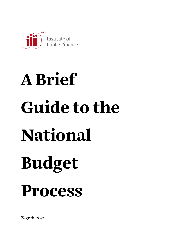

# A Brief Guide to the National Budget Process

Zagreb, 2020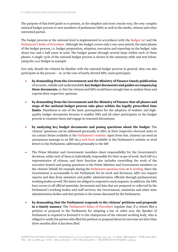The purpose of this brief guide is to present, in the simplest and most concise way, the very complex national budget process to new members of parliament (MPs) as well as the media, citizens and other interested parties.

The budget process at the national level is implemented in accordance with the [Budget Act](https://mfin.gov.hr/UserDocsImages/dokumenti/proracun/Zakon o proracunu - prociseni tekst.pdf) and the [Parliament's Rules of Procedure](https://www.sabor.hr/sites/default/files/uploads/inline-files/PROCISCENI TEKST POSLOVNIKA 2020_.pdf). Although the budget covers only a one-year period, the main phases of the budget process, i.e. budget preparation, adoption, execution and reporting on the budget, take about two and a half years in total. The budget passes through several steps within each of these phases. A single cycle of the national budget process is shown in the summary table and text below, using the 2021 Budget as example.

Not only should the citizens be familiar with the national budget process in general, they can also participate in the process – or, in the case of newly elected MPs, must participate:

- by demanding from the Government and the Ministry of Finance timely publication of accurate, reliable and understandable key budget documents and guides accompanying these documents, so that the citizens and MPs would have enough time to analyse them and express their respective opinions;
- by demanding from the Government and the Ministry of Finance that all phases and steps of the national budget process take place within the legally prescribed time limits. Timeliness is one of the basic prerequisites for the adoption of realistic and highquality budget documents because it enables MPs and all other participants in the budget process to examine them and engage in reasoned discussions;
- by analysing key budget documents and posing questions about the budget. The citizens' questions can be addressed personally to MPs, in their respective electoral units or via contact forms available at the [Parliament's website.](https://www.sabor.hr/en/mps) Apart from this, citizens can send an anonymous message to an MP via a [web form](https://www.sabor.hr/en/citizens-service) available at the Parliament's website or send letters to the Parliament, addressed personally to the MP.
- The Prime Minister and Government members share responsibility for the Government's decisions, while each of them is individually responsible for their scope of work. Each MP is a representative of citizens, and their function also includes controlling the work of the executive branch and posing questions to the Prime Minister and Government members on the citizens' behalf, for example during the [Parliament question time](https://www.sabor.hr/hr/sjednice/aktualna-prijepodneva) or [in writing](https://www.sabor.hr/en/contacts). Since the Government is accountable to the Parliament for its work and decisions, MPs can request reports and data from ministers and public administration officials through parliamentary working bodies as well. The latter are obliged to respond to such requests. In addition, the MPs have access to all official materials, documents and data that are prepared or collected by the Parliament's working bodies and staff services, the Government, ministries and other state administration bodies and that pertain to the issues discussed by the Parliament;
- by demanding that the Parliament responds to the citizens' petitions and proposals in a timely manner. The [Parliament's Rules of Procedure](https://www.sabor.hr/sites/default/files/uploads/inline-files/PROCISCENI TEKST POSLOVNIKA 2020_.pdf) regulate that, if a citizen files a petition or proposal to the Parliament for adopting a law or other acts, the Speaker of Parliament is required to forward it to the chairperson of the relevant working body, who is obliged to notify the person who filed the petition or proposal about its outcome not later than three months after it has been filed.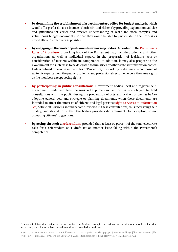- by demanding the establishment of a parliamentary office for budget analysis, which would offer professional assistance to both MPs and citizens by providing explanations, advice and guidelines for easier and quicker understanding of what are often complex and voluminous budget documents, so that they would be able to participate in the process as efficiently and effectively as possible.
- by engaging in the work of parliamentary working bodies. According to the [Parliament's](https://www.sabor.hr/sites/default/files/uploads/inline-files/PROCISCENI TEKST POSLOVNIKA 2020_.pdf)  [Rules of Procedure](https://www.sabor.hr/sites/default/files/uploads/inline-files/PROCISCENI TEKST POSLOVNIKA 2020_.pdf), a working body of the Parliament may include academic and other organisations as well as individual experts in the preparation of legislative acts or consideration of matters within its competence. In addition, it may also propose to the Government for such tasks to be delegated to ministries or other state administration bodies. Unless defined otherwise in the Rules of Procedure, the working bodies may be composed of up to six experts from the public, academic and professional sector, who bear the same rights as the members except voting rights.
- [by participating in public consultations](https://savjetovanja.gov.hr/). Government bodies, local and regional selfgovernment units and legal persons with public-law authorities are obliged to hold consultations with the public during the preparation of acts and by-laws as well as before adopting general acts and strategic or planning documents, when these documents are intended to affect the interests of citizens and legal persons ([Right to Access to Information](https://pristupinfo.hr/pravni-okvir/?lang=en)  [Act](https://pristupinfo.hr/pravni-okvir/?lang=en), Article 11).<sup>1</sup> Citizens should become involved in these consultations, thus increasing their quality, and should insist that the bodies provide valid arguments for accepting or not accepting citizens' suggestions.
- by acting through a [referendum](http://www.zakon.hr/z/359/Zakon-o-referendumu-i-drugim-oblicima-osobnog-sudjelovanja-u-obavljanju-dr%C5%BEavne-vlasti-i-lokalne-i-podru%C4%8Dne-(regionalne)-samouprave), provided that at least 10 percent of the total electorate calls for a referendum on a draft act or another issue falling within the Parliament's competence.

<sup>&</sup>lt;sup>1</sup> State administration bodies carry out public consultations through the national e-Consultations portal, while other mandatory consultation subjects usually conduct it through their websites.

INSTITUTE OF PUBLIC FINANCE | Smičiklasova 21, 10 000 Zagreb, Croatia | p.p. 320 | E-MAIL: office@ijf.hr | WEB: www.ijf.hr TEL: +385 (1) 4886 444 | FAX: +385 (1) 4819 365 | VAT: HR41683226810 | REGISTRATION NUMBER: 3226344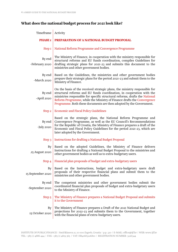# What does the national budget process for 2021 look like?

| Timeframe                 | Activity                                                                                                                                                                                                                                                                                                                                                                            |
|---------------------------|-------------------------------------------------------------------------------------------------------------------------------------------------------------------------------------------------------------------------------------------------------------------------------------------------------------------------------------------------------------------------------------|
| <b>PHASE 1</b>            | PREPARATION OF A NATIONAL BUDGET PROPOSAL                                                                                                                                                                                                                                                                                                                                           |
| Step 1                    | National Reform Programme and Convergence Programme                                                                                                                                                                                                                                                                                                                                 |
| By end<br>-February 2020  | The Ministry of Finance, in cooperation with the ministry responsible for<br>structural reforms and EU funds coordination, compiles Guidelines for<br>drafting strategic plans for 2021-23 and submits this document to the<br>ministries and other government bodies.                                                                                                              |
| By end<br>-March 2020     | Based on the Guidelines, the ministries and other government bodies<br>prepare their strategic plans for the period 2021-23 and submit them to the<br>Ministry of Finance.                                                                                                                                                                                                          |
| By end<br>-April 2020     | On the basis of the received strategic plans, the ministry responsible for<br>structural reforms and EU funds coordination, in cooperation with the<br>ministries responsible for specific structural reforms, drafts the National<br>Reform Programme, while the Ministry of Finance drafts the Convergence<br>Programme. Both these documents are then adopted by the Government. |
| Step 2                    | <b>Economic and Fiscal Policy Guidelines</b>                                                                                                                                                                                                                                                                                                                                        |
| By end<br>-July 2020      | Based on the strategic plans, the National Reform Programme and<br>Convergence Programme, as well as the EU Council's Recommendations<br>for the Republic of Croatia, the Ministry of Finance prepares a draft of the<br>Economic and Fiscal Policy Guidelines for the period 2021-23, which are<br>later adopted by the Government.                                                |
| Step 3                    | <b>Instructions for drafting a National Budget Proposal</b>                                                                                                                                                                                                                                                                                                                         |
| By<br>.15 August 2020     | Based on the adopted Guidelines, the Ministry of Finance delivers<br>Instructions for drafting a National Budget Proposal to the ministries and<br>other government bodies as well as to extra-budgetary users.                                                                                                                                                                     |
| Step 4                    | Financial plan proposals of budget and extra-budgetary users                                                                                                                                                                                                                                                                                                                        |
| By<br>15 September 2020   | Based on the Instructions, budget and extra-budgetary users draft<br>proposals of their respective financial plans and submit them to the<br>ministries and other government bodies.                                                                                                                                                                                                |
| By end<br>-September 2020 | The competent ministries and other government bodies submit the<br>coordinated financial plan proposals of budget and extra-budgetary users<br>to the Ministry of Finance.                                                                                                                                                                                                          |
| Step 5                    | The Ministry of Finance prepares a National Budget Proposal and submits<br>it to the Government                                                                                                                                                                                                                                                                                     |
| By<br>15 October 2020     | The Ministry of Finance prepares a Draft of the 2021 National Budget and<br>projections for 2022-23 and submits them to the Government, together<br>with the financial plans of extra-budgetary users.                                                                                                                                                                              |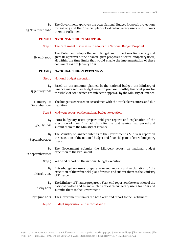| By<br>15 November 2020          | The Government approves the 2021 National Budget Proposal, projections<br>for 2022-23 and the financial plans of extra-budgetary users and submits<br>them to Parliament.                                                                                            |
|---------------------------------|----------------------------------------------------------------------------------------------------------------------------------------------------------------------------------------------------------------------------------------------------------------------|
| <b>PHASE 2</b>                  | <b>NATIONAL BUDGET ADOPTION</b>                                                                                                                                                                                                                                      |
| Step 6                          | The Parliament discusses and adopts the National Budget Proposal                                                                                                                                                                                                     |
| By end-2020                     | The Parliament adopts the 2021 Budget and projections for 2022-23 and<br>gives its approval of the financial plan proposals of extra-budgetary users,<br>all within the time limits that would enable the implementation of these<br>documents as of I January 2021. |
| PHASE 3                         | NATIONAL BUDGET EXECUTION                                                                                                                                                                                                                                            |
| Step 7                          | National budget execution                                                                                                                                                                                                                                            |
| By<br>15 January 2021           | Based on the amounts planned in the national budget, the Ministry of<br>Finance may require budget users to prepare monthly financial plans for<br>the whole of 2021, which are subject to approval by the Ministry of Finance.                                      |
| I January - 31<br>December 2021 | The budget is executed in accordance with the available resources and due<br>liabilities.                                                                                                                                                                            |
| Step 8                          | Mid-year report on the national budget execution                                                                                                                                                                                                                     |
| By<br>30 July 2021              | Extra-budgetary users prepare mid-year reports and explanation of the<br>execution of their financial plans for the past semi-annual period and<br>submit them to the Ministry of Finance.                                                                           |
| By<br>5 September 2021          | The Ministry of Finance submits to the Government a Mid-year report on<br>the execution of the national budget and financial plans of extra-budgetary<br>users.                                                                                                      |
| By<br>15 September 2021         | The Government submits the Mid-year report on national budget<br>execution to the Parliament.                                                                                                                                                                        |
| Step 9                          | Year-end report on the national budget execution                                                                                                                                                                                                                     |
| By<br>31 March 2022             | Extra-budgetary users prepare year-end reports and explanation of the<br>execution of their financial plans for 2021 and submit them to the Ministry<br>of Finance.                                                                                                  |
| By<br>I May 2022                | The Ministry of Finance prepares a Year-end report on the execution of the<br>national budget and financial plans of extra-budgetary users for 2021 and<br>submits them to the Government.                                                                           |
| By I June 2022                  | The Government submits the 2021 Year-end report to the Parliament.                                                                                                                                                                                                   |
| Step 10                         | Budget supervision and internal audit                                                                                                                                                                                                                                |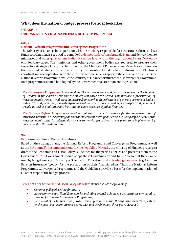# What does the national budget process for 2021 look like?

# PHASE 1: PREPARATION OF A NATIONAL BUDGET PROPOSAL

#### Step 1

#### National Reform Programme and Convergence Programme

The Ministry of Finance, in cooperation with the ministry responsible for structural reforms and EU funds coordination, is required to compile [Guidelines for Drafting Strategic Plans](https://mfin.gov.hr/proracun-86/stratesko-planiranje/615) and deliver them to ministries and other [government bodies at section level within the organizational classification](http://www.propisi.hr/print.php?id=3226) by end-February 2020. The ministries and other government bodies are required to prepare their respective strategic plans and submit them to the Ministry of Finance by end-March 2020. Based on the received strategic plans, the ministry responsible for structural reforms and EU funds coordination, in cooperation with the ministries responsible for specific structural reforms, drafts the National Reform Programme, while the Ministry of Finance formulates the Convergence Programme. Both programmes should be adopted by the Government no later than end-April 2020.

*[The Convergence Programme](https://mfin.gov.hr/istaknute-teme/hrvatska-i-eu/ekonomski-programi-u-okviru-eu-2355/program-konvergencije/2356) should lay down the macroeconomic and fiscal frameworks for the Republic of Croatia in the current year and the subsequent three-year period. This includes a presentation of macroeconomic trends, a mid-term budgetary framework with projections of general government budget, public debt and fiscal risks, a sensitivity analysis of the general government deficit/surplus and public debt trends, as well as qualitative and institutional characteristics of public finances.* 

*[The National Reform Programme](https://ec.europa.eu/info/business-economy-euro/economic-and-fiscal-policy-coordination/eu-economic-governance-monitoring-prevention-correction/european-semester/european-semester-your-country/croatia/european-semester-documents-croatia_en) should set out the strategic framework for the implementation of structural reforms in the current year and the subsequent three-year period, including key elements of the macroeconomic scenario and key reform measures envisaged in the strategic plans, to be implemented by government in the medium term.*

#### Step 2

#### Economic and Fiscal Policy Guidelines

Based on the strategic plans, the National Reform Programme and Convergence Programme, as well as the [EU Council's Recommendations for the Republic of Croatia](https://eur-lex.europa.eu/legal-content/EN/TXT/?qid=1591720698631&uri=CELEX:52020DC0511), the Ministry of Finance prepares a draft of the Economic and Fiscal Policy Guidelines for the period 2021-23 and presents them to the Government. The Government should adopt these Guidelines by end-July 2020 so that they can be used by budget users (e.g. Ministry of Science and Education) and [extra-budgetary users](https://mfin.gov.hr/istaknute-teme/drzavna-riznica/racunovodstvo/registar/178) (e.g. Croatian Pension Insurance Agency) for the preparation of their financial plans. Thus, the National Reform Programme, Convergence Programme and the Guidelines provide a basis for the implementation of all other steps of the budget process.

*[The 2021-2023 Economic and Fiscal Policy Guidelines](https://mfin.gov.hr/pristup-informacijama/publikacije/smjernice-ekonomske-i-fiskalne-politike-zavod-za-makroekonomske-analize-i-planiranje/546) should include the following:* 

- *economic policy objectives for 2021-23;*
- *macroeconomic and fiscal frameworks, including potential changed circumstances compared to those set forth in the Convergence Programme;*
- *the amount of the financial plan, broken down by sections within the organisational classification for the past year (2019), current year (2020) and the following three years (2021-23).*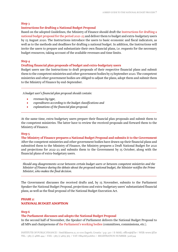#### Step 3

#### Instructions for drafting a National Budget Proposal

Based on the adopted Guidelines, the Ministry of Finance should draft the [Instructions for drafting a](https://mfin.gov.hr/istaknute-teme/drzavna-riznica/priprema-proracuna/147)  [national budget proposal for the period 2021-23](https://mfin.gov.hr/istaknute-teme/drzavna-riznica/priprema-proracuna/147) and deliver them to budget and extra-budgetary users by 15 August 2020. The Instructions introduce the users to basic economic and fiscal indicators, as well as to the methods and deadlines for drafting a national budget. In addition, the Instructions will invite the users to prepare and substantiate their own financial plans, i.e. requests for the necessary budget resources, taking account of the available revenues and time limits.

#### Step 4

#### Drafting financial plan proposals of budget and extra-budgetary users

Budget users use the Instructions to draft proposals of their respective financial plans and submit them to the competent ministries and other government bodies by 15 September 2020. The competent ministries and other government bodies are obliged to adjust the plans, adopt them and submit them to the Ministry of Finance by end-September.

*A budget user's financial plan proposal should contain:* 

- *revenues by type,*
- *expenditures according to the budget classifications and*
- *explanations of the financial plan proposal.*

At the same time, extra-budgetary users prepare their financial plan proposals and submit them to the competent ministries. The latter have to review the received proposals and forward them to the Ministry of Finance.

#### Step 5

The Ministry of Finance prepares a National Budget Proposal and submits it to the Government After the competent ministries and other government bodies have drawn up their financial plans and submitted them to the Ministry of Finance, the Ministry prepares a Draft National Budget for 2021 and projections for 2022-23 and submits them to the Government by 15 October, along with the financial plans of extra-budgetary users.

*Should any disagreements occur between certain budget users or between competent ministries and the Minister of Finance during the debate about the proposed national budget, the Minister notifies the Prime Minister, who makes the final decision.* 

The Government discusses the received drafts and, by 15 November, submits to the Parliament Speaker the National Budget Proposal, projections and extra-budgetary users' substantiated financial plans, as well as the final proposal of the National Budget Execution Act.

#### PHASE 2: NATIONAL BUDGET ADOPTION

#### Step 6

#### The Parliament discusses and adopts the National Budget Proposal

In the second half of November, the Speaker of Parliament delivers the National Budget Proposal to all MPs and chairpersons of [the Parliament's working bodies](https://www.sabor.hr/en/working-bodies) (committees, commissions, etc.).

INSTITUTE OF PUBLIC FINANCE | Smičiklasova 21, 10 000 Zagreb, Croatia | p.p. 320 | E-MAIL: office@ijf.hr | WEB: www.ijf.hr TEL: +385 (1) 4886 444 | FAX: +385 (1) 4819 365 | VAT: HR41683226810 | REGISTRATION NUMBER: 3226344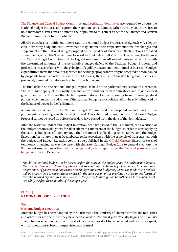[The Finance and Central Budget Committee](https://www.sabor.hr/en/committees/finance-and-central-budget-committee-10-term) and [Legislation Committee](https://www.sabor.hr/en/committees/legislation-committee-10-term) are required to discuss the National Budget Proposal and express their opinions to Parliament. Other working bodies are free to hold their own discussions and submit their opinions to this effect either to the Finance and Central Budget Committee or to the Parliament.

All MPs must be given sufficient time to study the National Budget Proposal closely. Each MP, a deputy club, a working body and the Government may submit their respective motions for changes and supplements to the National Budget Proposal to the Speaker of Parliament. Such motions are called amendments, which the Speaker must forward without delay to all MPs, the Government, the Finance and Central Budget Committee and the Legislation Committee. All amendments must be in line with the determined amounts of the permissible budget deficit of the National Budget Proposal and projections. In accordance with the principle of equilibrium, amendments aimed at increasing budget expenditures above the amounts specified in the budget proposal can only be accepted if accompanied by proposals to reduce other expenditures. Moreover, they must not burden budgetary reserves or previously assumed liabilities, or lead to further borrowing.

The final debate on the National Budget Proposal is held at the parliamentary session in December. The MPs and deputy clubs usually demand more funds for certain ministries and regional/local government units. MPs are the elected representatives of citizens coming from different political parties, which makes the adoption of the national budget also a political affair, heavily influenced by the balance of power in the Parliament.

A joint debate is held on the National Budget Proposal and the proposed amendments in one parliamentary reading, usually at section level. The submitted amendments and National Budget Proposal cannot be voted on before three days have passed from the date of that joint debate.

After the National Budget and Budget Execution Act have passed in the Parliament, the execution of the Budget becomes obligatory for all participants and users of the budget. In order to start applying the national budget as of 1 January 2021, the Parliament is obliged to pass the Budget and the Budget Execution Act no later than 31 December 2020. In accordance with the principle of transparency, both the budget and Budget Execution Act must be published in the [Official Gazette](https://narodne-novine.nn.hr/clanci/sluzbeni/2019_12_117_2345.html). Except in cases of temporary financing, as was the case with the 2016 National Budget (due to general election), the Parliament usually passes [the national budget and gives its approval to the financial plans of extra](https://mfin.gov.hr/proracun-86/drzavni-proracun-2020-godina/2981)[budgetary users](https://mfin.gov.hr/proracun-86/drzavni-proracun-2020-godina/2981) in December.

*Should the national budget not be passed before the start of the budget year, the Parliament adopts a [Decision on temporary financing \(Article 42\)](https://mfin.gov.hr/UserDocsImages/dokumenti/proracun/Zakon o proracunu - prociseni tekst.pdf) to continue the financing of activities, functions and programmes of government bodies and other budget and extra-budgetary users. The funds thus provided will be proportional to expenditures realised in the same period of the previous year, up to one fourth of the total realised expenditures minus outlays. Temporary financing may be authorised for the period not exceeding the first three months of the budget year.* 

### PHASE 3 NATIONAL BUDGET EXECUTION

#### Step 7

#### National budget execution

After the budget has been adopted by the Parliament, the Ministry of Finance notifies the ministries and other users of the funds they have been allocated. The fiscal year officially begins on 1 January 2021, which is when budget execution starts, i.e. revenues start to be collected and resources spent, with all operations subject to supervision and control.

INSTITUTE OF PUBLIC FINANCE | Smičiklasova 21, 10 000 Zagreb, Croatia | p.p. 320 | E-MAIL: office@ijf.hr | WEB: www.ijf.hr TEL: +385 (1) 4886 444 | FAX: +385 (1) 4819 365 | VAT: HR41683226810 | REGISTRATION NUMBER: 3226344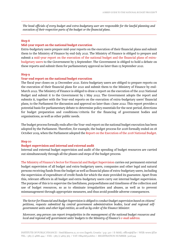*The head officials of every budget and extra-budgetary user are responsible for the lawful planning and execution of their respective parts of the budget or the financial plans.* 

#### Step 8

#### Mid-year report on the national budget execution

Extra-budgetary users prepare mid-year reports on the execution of their financial plans and submit them to the Ministry of Finance by end-July 2021. The Ministry of Finance is obliged to prepare and submit a [mid-year report on the execution of the national budget and the financial plans of extra](https://mfin.gov.hr/proracun-86/drzavni-proracun-2019-godina/608)[budgetary users](https://mfin.gov.hr/proracun-86/drzavni-proracun-2019-godina/608) to the Government by 5 September. The Government is obliged to hold a debate on these reports and submit them for parliamentary approval no later than 15 September 2021.

#### Step 9

#### Year-end report on the national budget execution

The fiscal year closes on 31 December 2021. Extra-budgetary users are obliged to prepare reports on the execution of their financial plans for 2021 and submit them to the Ministry of Finance by end-March 2022. The Ministry of Finance is obliged to draw a report on the execution of the 2021 National Budget and submit it to the Government by 1 May 2022. The Government adopts the report and submits it, together with the Year-end reports on the execution of extra-budgetary users' financial plans, to the Parliament for discussion and approval no later than 1 June 2022. This report provides a potential basis for parliamentary debate to determine policy essentials for the next period, directions for budget preparation and conditions/criteria for the financing of government bodies and organisations, as well as other public needs.

The budget process formally ends after the Year-end report on the national budget execution has been adopted by the Parliament. Therefore, for example, the budget process for 2018 formally ended on 18 October 2019, when the Parliament adopted the [Report on the Execution of the 2018 National Budget](https://narodne-novine.nn.hr/clanci/sluzbeni/2019_10_103_2063.html).

#### Step 10

#### Budget supervision and internal and external audit

Internal and external budget supervision and audit of the spending of budget resources are carried out simultaneously through all the phases and steps of the budget process.

[The Ministry of Finance's Sector for Financial and Budget Supervision](https://mfin.gov.hr/o-ministarstvu/djelokrug-2507/ustrojstvo-84/uprava-za-financijsko-upravljanje-unutarnju-reviziju-i-nadzor-139/139) carries out permanent external budget supervision of all budget and extra-budgetary users, companies and other legal and natural persons receiving funds from the budget as well as financial plans of extra-budgetary users, including the supervision of expenditure of credit funds for which the state provided its guarantee. Apart from this, relevant officers in all budget and extra-budgetary users carry out internal budget supervision. The purpose of this is to supervise the lawfulness, purposefulness and timeliness of the collection and use of budget resources, so as to eliminate irregularities and abuses, as well as to prevent mismanagement through appropriate measures, and thus avoid possible adverse consequences.

*The Sector for Financial and Budget Supervision is obliged to conduct budget supervision based on citizens' petitions, requests submitted by central government administration bodies, local and regional selfgovernment units and other legal entities, as well as by order of the Finance Minister.* 

*Moreover, any person can report irregularities in the management of the national budget resources and*  local and regional self-government units' budgets to the Ministry of Finance's [e-mail address](mailto:nepravilnosti@mfin.hr).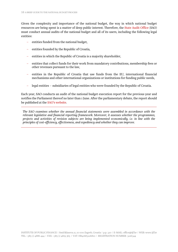Given the complexity and importance of the national budget, the way in which national budget resources are being spent is a matter of deep public interest. Therefore, the [State Audit Office](http://www.revizija.hr/hr/izvjesca) (SAO) must conduct annual audits of the national budget and all of its users, including the following legal entities:

- entities funded from the national budget,
- entities founded by the Republic of Croatia,
- entities in which the Republic of Croatia is a majority shareholder,
- entities that collect funds for their work from mandatory contributions, membership fees or other revenues pursuant to the law,
- entities in the Republic of Croatia that use funds from the EU, international financial mechanisms and other international organizations or institutions for funding public needs,
- legal entities subsidiaries of legal entities who were founded by the Republic of Croatia.

Each year, SAO conducts an audit of the national budget execution report for the previous year and notifies the Parliament thereof no later than 1 June. After the parliamentary debate, the report should be published at the [SAO's website.](https://www.revizija.hr/izvjesca/10)

*The SAO examines whether the annual financial statements were assembled in accordance with the relevant legislative and financial reporting framework. Moreover, it assesses whether the programmes, projects and activities of revision subjects are being implemented economically, i.e. in line with the principles of cost-efficiency, effectiveness, and expediency and whether they can improve.*